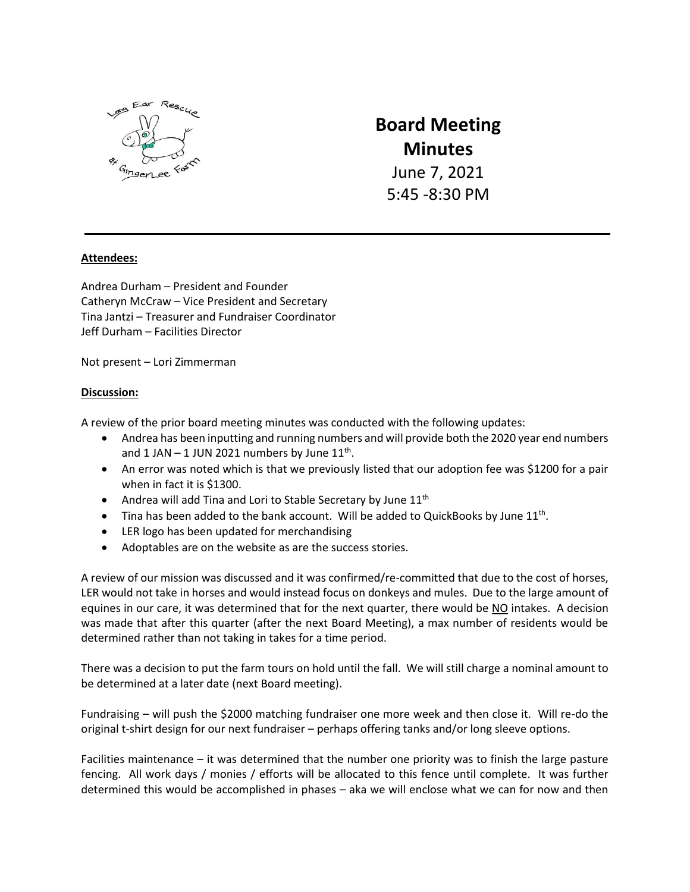

# **Board Meeting Minutes**

June 7, 2021 5:45 -8:30 PM

## **Attendees:**

Andrea Durham – President and Founder Catheryn McCraw – Vice President and Secretary Tina Jantzi – Treasurer and Fundraiser Coordinator Jeff Durham – Facilities Director

Not present – Lori Zimmerman

### **Discussion:**

A review of the prior board meeting minutes was conducted with the following updates:

- Andrea has been inputting and running numbers and will provide both the 2020 year end numbers and  $1$  JAN  $-1$  JUN 2021 numbers by June  $11<sup>th</sup>$ .
- An error was noted which is that we previously listed that our adoption fee was \$1200 for a pair when in fact it is \$1300.
- Andrea will add Tina and Lori to Stable Secretary by June  $11<sup>th</sup>$
- $\bullet$  Tina has been added to the bank account. Will be added to QuickBooks by June 11<sup>th</sup>.
- LER logo has been updated for merchandising
- Adoptables are on the website as are the success stories.

A review of our mission was discussed and it was confirmed/re-committed that due to the cost of horses, LER would not take in horses and would instead focus on donkeys and mules. Due to the large amount of equines in our care, it was determined that for the next quarter, there would be NO intakes. A decision was made that after this quarter (after the next Board Meeting), a max number of residents would be determined rather than not taking in takes for a time period.

There was a decision to put the farm tours on hold until the fall. We will still charge a nominal amount to be determined at a later date (next Board meeting).

Fundraising – will push the \$2000 matching fundraiser one more week and then close it. Will re-do the original t-shirt design for our next fundraiser – perhaps offering tanks and/or long sleeve options.

Facilities maintenance – it was determined that the number one priority was to finish the large pasture fencing. All work days / monies / efforts will be allocated to this fence until complete. It was further determined this would be accomplished in phases – aka we will enclose what we can for now and then